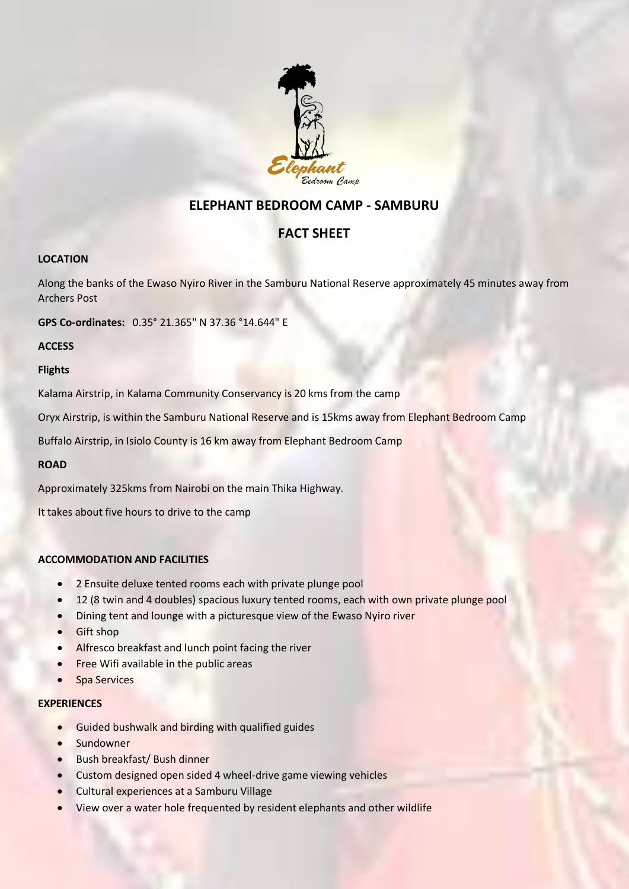

# **ELEPHANT BEDROOM CAMP - SAMBURU**

# **FACT SHEET**

## **LOCATION**

Along the banks of the Ewaso Nyiro River in the Samburu National Reserve approximately 45 minutes away from Archers Post

**GPS Co-ordinates:** 0.35° 21.365" N 37.36 °14.644" E

**ACCESS**

## **Flights**

Kalama Airstrip, in Kalama Community Conservancy is 20 kms from the camp

Oryx Airstrip, is within the Samburu National Reserve and is 15kms away from Elephant Bedroom Camp

Buffalo Airstrip, in Isiolo County is 16 km away from Elephant Bedroom Camp

## **ROAD**

Approximately 325kms from Nairobi on the main Thika Highway.

It takes about five hours to drive to the camp

## **ACCOMMODATION AND FACILITIES**

- 2 Ensuite deluxe tented rooms each with private plunge pool
- 12 (8 twin and 4 doubles) spacious luxury tented rooms, each with own private plunge pool
- Dining tent and lounge with a picturesque view of the Ewaso Nyiro river
- Gift shop
- Alfresco breakfast and lunch point facing the river
- **•** Free Wifi available in the public areas
- Spa Services

- **•** Guided bushwalk and birding with qualified guides
- Sundowner
- Bush breakfast/ Bush dinner
- Custom designed open sided 4 wheel-drive game viewing vehicles
- **•** Cultural experiences at a Samburu Village
- View over a water hole frequented by resident elephants and other wildlife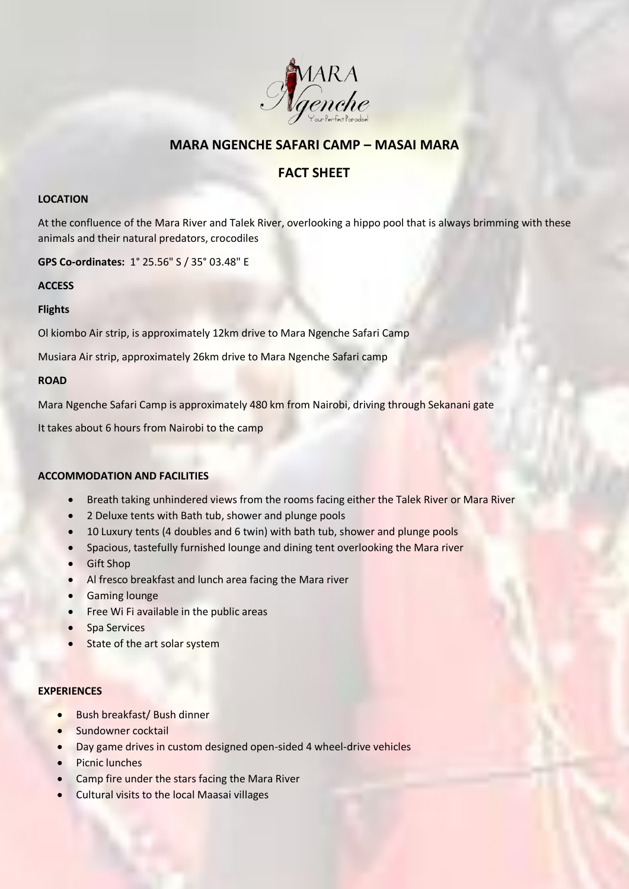

## **MARA NGENCHE SAFARI CAMP – MASAI MARA**

# **FACT SHEET**

#### **LOCATION**

At the confluence of the Mara River and Talek River, overlooking a hippo pool that is always brimming with these animals and their natural predators, crocodiles

**GPS Co-ordinates:** 1° 25.56" S / 35° 03.48" E

## **ACCESS**

## **Flights**

Ol kiombo Air strip, is approximately 12km drive to Mara Ngenche Safari Camp

Musiara Air strip, approximately 26km drive to Mara Ngenche Safari camp

#### **ROAD**

Mara Ngenche Safari Camp is approximately 480 km from Nairobi, driving through Sekanani gate

It takes about 6 hours from Nairobi to the camp

## **ACCOMMODATION AND FACILITIES**

- Breath taking unhindered views from the rooms facing either the Talek River or Mara River
- 2 Deluxe tents with Bath tub, shower and plunge pools
- 10 Luxury tents (4 doubles and 6 twin) with bath tub, shower and plunge pools
- Spacious, tastefully furnished lounge and dining tent overlooking the Mara river
- Gift Shop
- Al fresco breakfast and lunch area facing the Mara river
- **•** Gaming lounge
- Free Wi Fi available in the public areas
- Spa Services
- State of the art solar system

- Bush breakfast/ Bush dinner
- Sundowner cocktail
- Day game drives in custom designed open-sided 4 wheel-drive vehicles
- Picnic lunches
- Camp fire under the stars facing the Mara River
- **•** Cultural visits to the local Maasai villages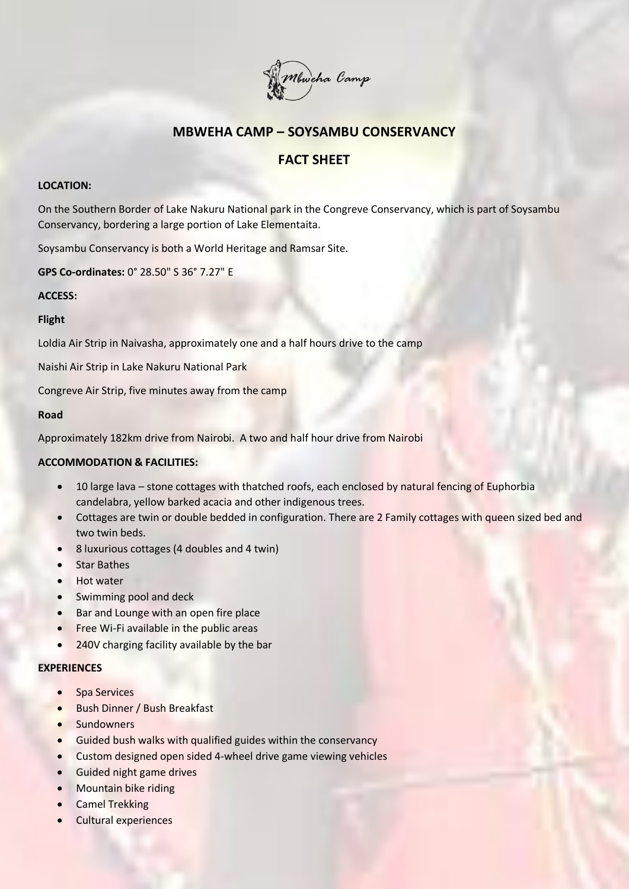

# **MBWEHA CAMP – SOYSAMBU CONSERVANCY**

# **FACT SHEET**

## **LOCATION:**

On the Southern Border of Lake Nakuru National park in the Congreve Conservancy, which is part of Soysambu Conservancy, bordering a large portion of Lake Elementaita.

Soysambu Conservancy is both a World Heritage and Ramsar Site.

**GPS Co-ordinates:** 0° 28.50" S 36° 7.27" E

## **ACCESS:**

## **Flight**

Loldia Air Strip in Naivasha, approximately one and a half hours drive to the camp

Naishi Air Strip in Lake Nakuru National Park

Congreve Air Strip, five minutes away from the camp

## **Road**

Approximately 182km drive from Nairobi. A two and half hour drive from Nairobi

## **ACCOMMODATION & FACILITIES:**

- 10 large lava stone cottages with thatched roofs, each enclosed by natural fencing of Euphorbia candelabra, yellow barked acacia and other indigenous trees.
- Cottages are twin or double bedded in configuration. There are 2 Family cottages with queen sized bed and two twin beds.
- 8 luxurious cottages (4 doubles and 4 twin)
- Star Bathes
- Hot water
- Swimming pool and deck
- Bar and Lounge with an open fire place
- Free Wi-Fi available in the public areas
- 240V charging facility available by the bar

- Spa Services
- **•** Bush Dinner / Bush Breakfast
- Sundowners
- **Guided bush walks with qualified guides within the conservancy**
- Custom designed open sided 4-wheel drive game viewing vehicles
- Guided night game drives
- Mountain bike riding
- **•** Camel Trekking
- Cultural experiences